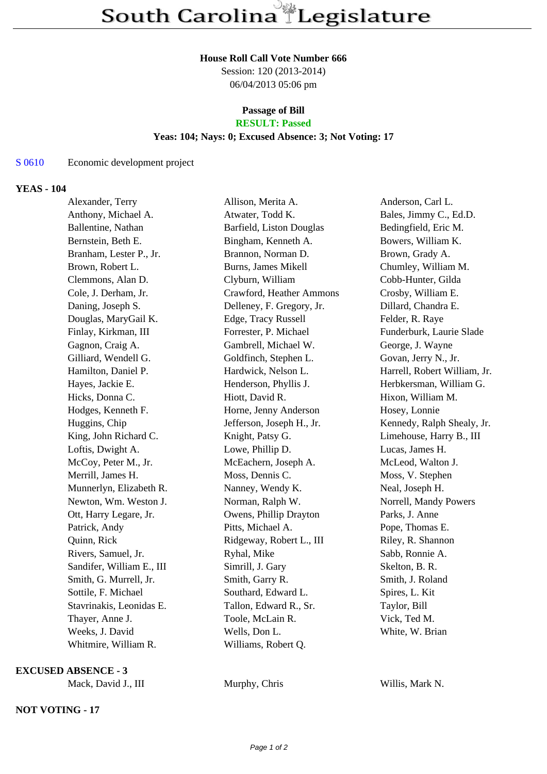#### **House Roll Call Vote Number 666**

Session: 120 (2013-2014) 06/04/2013 05:06 pm

### **Passage of Bill RESULT: Passed**

### **Yeas: 104; Nays: 0; Excused Absence: 3; Not Voting: 17**

# S 0610 Economic development project

# **YEAS - 104**

| Alexander, Terry          | Allison, Merita A.         | Anderson, Carl L.            |
|---------------------------|----------------------------|------------------------------|
| Anthony, Michael A.       | Atwater, Todd K.           | Bales, Jimmy C., Ed.D.       |
| Ballentine, Nathan        | Barfield, Liston Douglas   | Bedingfield, Eric M.         |
| Bernstein, Beth E.        | Bingham, Kenneth A.        | Bowers, William K.           |
| Branham, Lester P., Jr.   | Brannon, Norman D.         | Brown, Grady A.              |
| Brown, Robert L.          | <b>Burns, James Mikell</b> | Chumley, William M.          |
| Clemmons, Alan D.         | Clyburn, William           | Cobb-Hunter, Gilda           |
| Cole, J. Derham, Jr.      | Crawford, Heather Ammons   | Crosby, William E.           |
| Daning, Joseph S.         | Delleney, F. Gregory, Jr.  | Dillard, Chandra E.          |
| Douglas, MaryGail K.      | Edge, Tracy Russell        | Felder, R. Raye              |
| Finlay, Kirkman, III      | Forrester, P. Michael      | Funderburk, Laurie Slade     |
| Gagnon, Craig A.          | Gambrell, Michael W.       | George, J. Wayne             |
| Gilliard, Wendell G.      | Goldfinch, Stephen L.      | Govan, Jerry N., Jr.         |
| Hamilton, Daniel P.       | Hardwick, Nelson L.        | Harrell, Robert William, Jr. |
| Hayes, Jackie E.          | Henderson, Phyllis J.      | Herbkersman, William G.      |
| Hicks, Donna C.           | Hiott, David R.            | Hixon, William M.            |
| Hodges, Kenneth F.        | Horne, Jenny Anderson      | Hosey, Lonnie                |
| Huggins, Chip             | Jefferson, Joseph H., Jr.  | Kennedy, Ralph Shealy, Jr.   |
| King, John Richard C.     | Knight, Patsy G.           | Limehouse, Harry B., III     |
| Loftis, Dwight A.         | Lowe, Phillip D.           | Lucas, James H.              |
| McCoy, Peter M., Jr.      | McEachern, Joseph A.       | McLeod, Walton J.            |
| Merrill, James H.         | Moss, Dennis C.            | Moss, V. Stephen             |
| Munnerlyn, Elizabeth R.   | Nanney, Wendy K.           | Neal, Joseph H.              |
| Newton, Wm. Weston J.     | Norman, Ralph W.           | Norrell, Mandy Powers        |
| Ott, Harry Legare, Jr.    | Owens, Phillip Drayton     | Parks, J. Anne               |
| Patrick, Andy             | Pitts, Michael A.          | Pope, Thomas E.              |
| Quinn, Rick               | Ridgeway, Robert L., III   | Riley, R. Shannon            |
| Rivers, Samuel, Jr.       | Ryhal, Mike                | Sabb, Ronnie A.              |
| Sandifer, William E., III | Simrill, J. Gary           | Skelton, B. R.               |
| Smith, G. Murrell, Jr.    | Smith, Garry R.            | Smith, J. Roland             |
| Sottile, F. Michael       | Southard, Edward L.        | Spires, L. Kit               |
| Stavrinakis, Leonidas E.  | Tallon, Edward R., Sr.     | Taylor, Bill                 |
| Thayer, Anne J.           | Toole, McLain R.           | Vick, Ted M.                 |
| Weeks, J. David           | Wells, Don L.              | White, W. Brian              |
| Whitmire, William R.      | Williams, Robert Q.        |                              |

**EXCUSED ABSENCE - 3**

Mack, David J., III Murphy, Chris Willis, Mark N.

**NOT VOTING - 17**